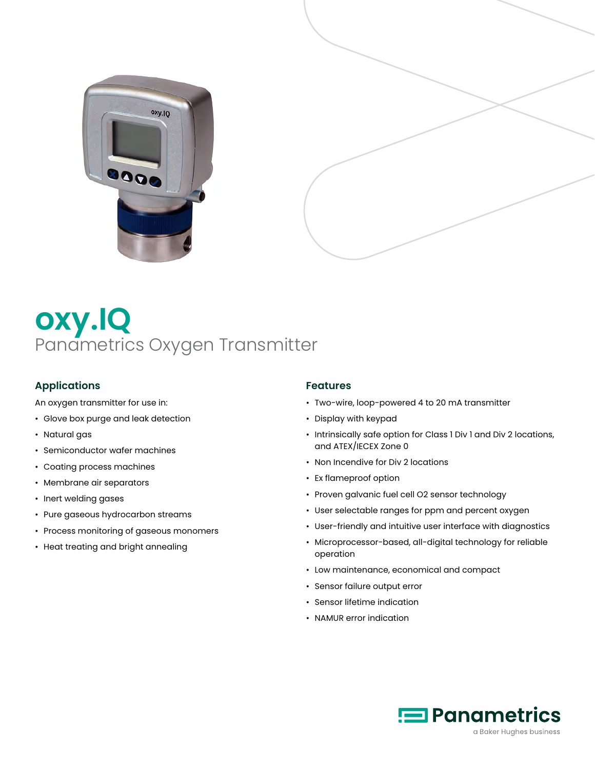



# **oxy.IQ** Panametrics Oxygen Transmitter

# **Applications**

An oxygen transmitter for use in:

- Glove box purge and leak detection
- Natural gas
- Semiconductor wafer machines
- Coating process machines
- Membrane air separators
- Inert welding gases
- Pure gaseous hydrocarbon streams
- Process monitoring of gaseous monomers
- Heat treating and bright annealing

#### **Features**

- Two-wire, loop-powered 4 to 20 mA transmitter
- Display with keypad
- Intrinsically safe option for Class 1 Div 1 and Div 2 locations, and ATEX/IECEX Zone 0
- Non Incendive for Div 2 locations
- Ex flameproof option
- Proven galvanic fuel cell O2 sensor technology
- User selectable ranges for ppm and percent oxygen
- User-friendly and intuitive user interface with diagnostics
- Microprocessor-based, all-digital technology for reliable operation
- Low maintenance, economical and compact
- Sensor failure output error
- Sensor lifetime indication
- NAMUR error indication

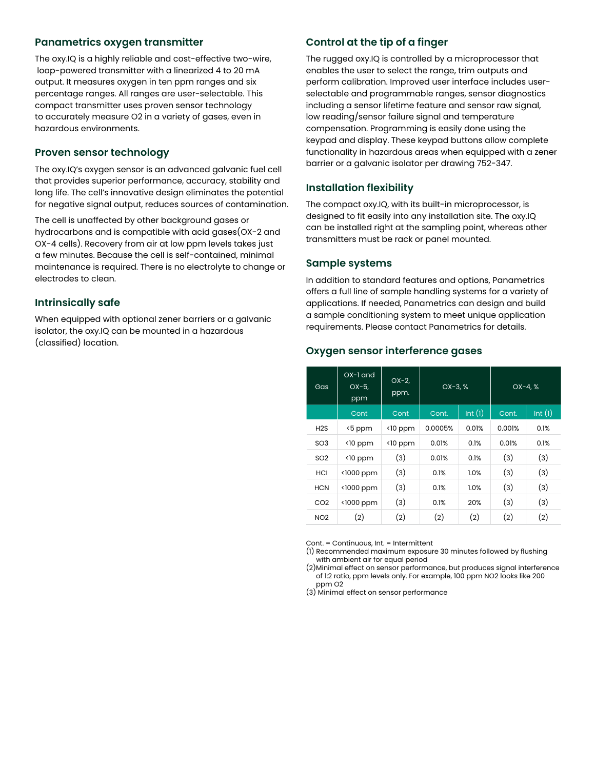### **Panametrics oxygen transmitter**

The oxy.IQ is a highly reliable and cost-effective two-wire, loop-powered transmitter with a linearized 4 to 20 mA output. It measures oxygen in ten ppm ranges and six percentage ranges. All ranges are user-selectable. This compact transmitter uses proven sensor technology to accurately measure O2 in a variety of gases, even in hazardous environments.

#### **Proven sensor technology**

The oxy.IQ's oxygen sensor is an advanced galvanic fuel cell that provides superior performance, accuracy, stability and long life. The cell's innovative design eliminates the potential for negative signal output, reduces sources of contamination.

The cell is unaffected by other background gases or hydrocarbons and is compatible with acid gases(OX-2 and OX-4 cells). Recovery from air at low ppm levels takes just a few minutes. Because the cell is self-contained, minimal maintenance is required. There is no electrolyte to change or electrodes to clean.

#### **Intrinsically safe**

When equipped with optional zener barriers or a galvanic isolator, the oxy.IQ can be mounted in a hazardous (classified) location.

## **Control at the tip of a finger**

The rugged oxy.IQ is controlled by a microprocessor that enables the user to select the range, trim outputs and perform calibration. Improved user interface includes userselectable and programmable ranges, sensor diagnostics including a sensor lifetime feature and sensor raw signal, low reading/sensor failure signal and temperature compensation. Programming is easily done using the keypad and display. These keypad buttons allow complete functionality in hazardous areas when equipped with a zener barrier or a galvanic isolator per drawing 752-347.

#### **Installation flexibility**

The compact oxy.IQ, with its built-in microprocessor, is designed to fit easily into any installation site. The oxy.IQ can be installed right at the sampling point, whereas other transmitters must be rack or panel mounted.

#### **Sample systems**

In addition to standard features and options, Panametrics offers a full line of sample handling systems for a variety of applications. If needed, Panametrics can design and build a sample conditioning system to meet unique application requirements. Please contact Panametrics for details.

#### **Oxygen sensor interference gases**

| Gas              | $OX-1$ and<br>$OX-5,$<br>ppm | $OX-2,$<br>ppm.  | $OX-3, %$ |        | $OX - 4. %$ |        |
|------------------|------------------------------|------------------|-----------|--------|-------------|--------|
|                  | Cont                         | Cont             | Cont.     | Int(1) | Cont.       | Int(1) |
| H <sub>2</sub> S | <5 ppm                       | $\langle$ 10 ppm | 0.0005%   | 0.01%  | 0.001%      | 0.1%   |
| SO <sub>3</sub>  | $\langle$ 10 ppm             | $\langle$ 10 ppm | 0.01%     | 0.1%   | 0.01%       | 0.1%   |
| SO <sub>2</sub>  | $\langle$ 10 ppm             | (3)              | 0.01%     | 0.1%   | (3)         | (3)    |
| <b>HCI</b>       | <1000 ppm                    | (3)              | 0.1%      | 1.0%   | (3)         | (3)    |
| <b>HCN</b>       | <1000 ppm                    | (3)              | 0.1%      | 1.0%   | (3)         | (3)    |
| CO <sub>2</sub>  | <1000 ppm                    | (3)              | 0.1%      | 20%    | (3)         | (3)    |
| NO <sub>2</sub>  | (2)                          | (2)              | (2)       | (2)    | (2)         | (2)    |

Cont. = Continuous, Int. = Intermittent

(1) Recommended maximum exposure 30 minutes followed by flushing with ambient air for equal period

(2)Minimal effect on sensor performance, but produces signal interference of 1:2 ratio, ppm levels only. For example, 100 ppm NO2 looks like 200 ppm O2

(3) Minimal effect on sensor performance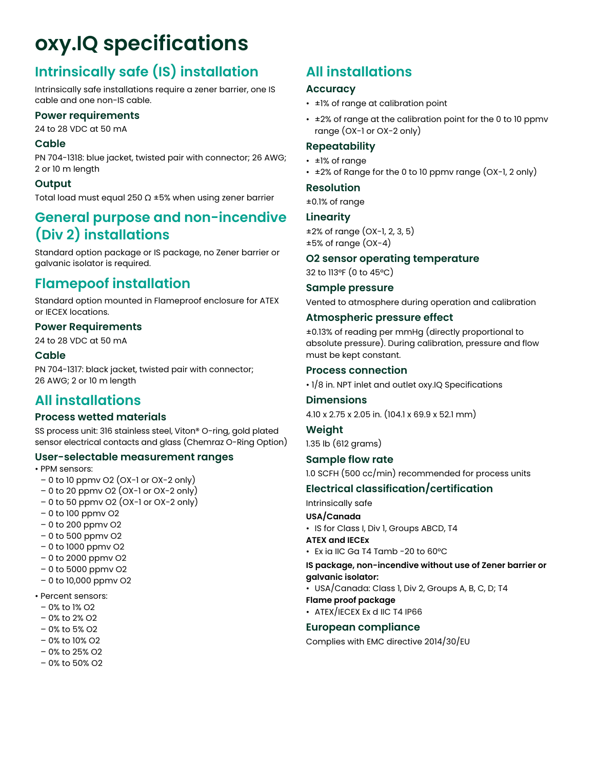# **oxy.IQ specifications**

# **Intrinsically safe (IS) installation**

Intrinsically safe installations require a zener barrier, one IS cable and one non-IS cable.

## **Power requirements**

24 to 28 VDC at 50 mA

### **Cable**

PN 704-1318: blue jacket, twisted pair with connector; 26 AWG; 2 or 10 m length

# **Output**

Total load must equal 250 Ω ±5% when using zener barrier

# **General purpose and non-incendive (Div 2) installations**

Standard option package or IS package, no Zener barrier or galvanic isolator is required.

# **Flamepoof installation**

Standard option mounted in Flameproof enclosure for ATEX or IECEX locations.

# **Power Requirements**

24 to 28 VDC at 50 mA

# **Cable**

PN 704-1317: black jacket, twisted pair with connector; 26 AWG; 2 or 10 m length

# **All installations**

# **Process wetted materials**

SS process unit: 316 stainless steel, Viton® O-ring, gold plated sensor electrical contacts and glass (Chemraz O-Ring Option)

### **User-selectable measurement ranges**

• PPM sensors:

- $-0$  to 10 ppmv O2 (OX-1 or OX-2 only)
- 0 to 20 ppmv O2 (OX-1 or OX-2 only)
- $-0$  to 50 ppmv O2 (OX-1 or OX-2 only)
- 0 to 100 ppmv O2
- 0 to 200 ppmv O2
- 0 to 500 ppmv O2
- 0 to 1000 ppmv O2
- 0 to 2000 ppmv O2
- 0 to 5000 ppmv O2
- 0 to 10,000 ppmv O2
- Percent sensors:
- 0% to 1% O2
- 0% to 2% O2
- 0% to 5% O2
- 0% to 10% O2
- 0% to 25% O2
- 0% to 50% O2

# **All installations**

# **Accuracy**

- ±1% of range at calibration point
- ±2% of range at the calibration point for the 0 to 10 ppmv range (OX-1 or OX-2 only)

# **Repeatability**

- ±1% of range
- $\cdot$   $\pm$ 2% of Range for the 0 to 10 ppmv range (OX-1, 2 only)

### **Resolution**

±0.1% of range

# **Linearity**

±2% of range (OX-1, 2, 3, 5)  $\pm 5\%$  of range (OX-4)

# **O2 sensor operating temperature**

32 to 113°F (0 to 45°C)

### **Sample pressure**

Vented to atmosphere during operation and calibration

## **Atmospheric pressure effect**

±0.13% of reading per mmHg (directly proportional to absolute pressure). During calibration, pressure and flow must be kept constant.

### **Process connection**

• 1/8 in. NPT inlet and outlet oxy.IQ Specifications

# **Dimensions**

4.10 x 2.75 x 2.05 in. (104.1 x 69.9 x 52.1 mm)

#### **Weight**

1.35 lb (612 grams)

### **Sample flow rate**

1.0 SCFH (500 cc/min) recommended for process units

# **Electrical classification/certification**

Intrinsically safe

### **USA/Canada**

- IS for Class I, Div 1, Groups ABCD, T4
- **ATEX and IECEx**
- Ex ia IIC Ga T4 Tamb -20 to 60°C

### **IS package, non-incendive without use of Zener barrier or galvanic isolator:**

• USA/Canada: Class 1, Div 2, Groups A, B, C, D; T4

### **Flame proof package**

• ATEX/IECEX Ex d IIC T4 IP66

# **European compliance**

Complies with EMC directive 2014/30/EU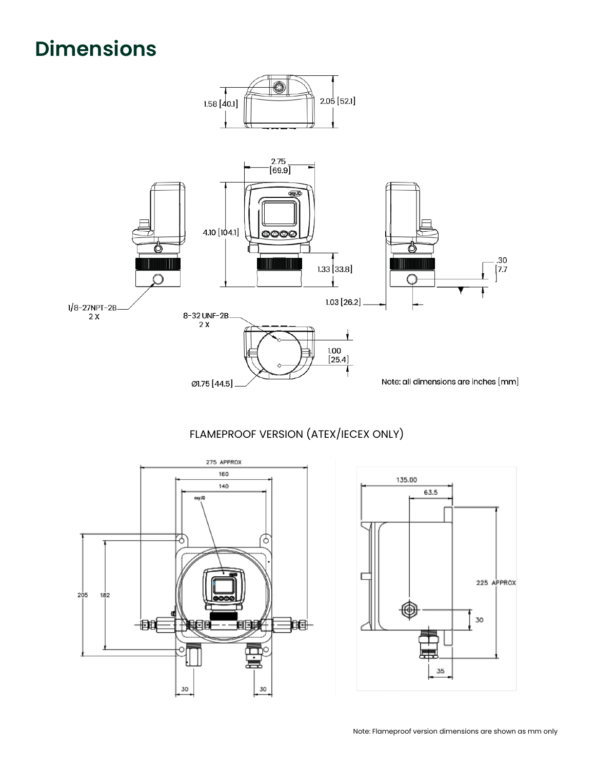# **Dimensions**



# FLAMEPROOF VERSION (ATEX/IECEX ONLY)



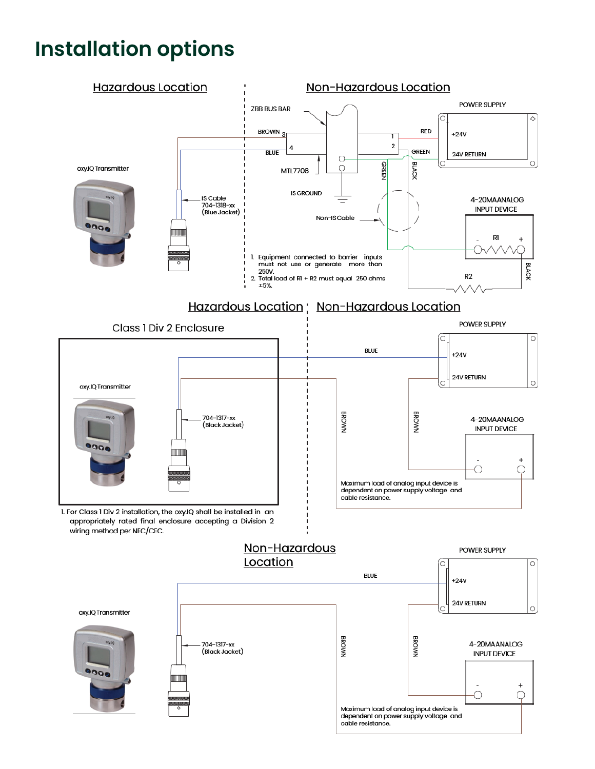# **Installation options**

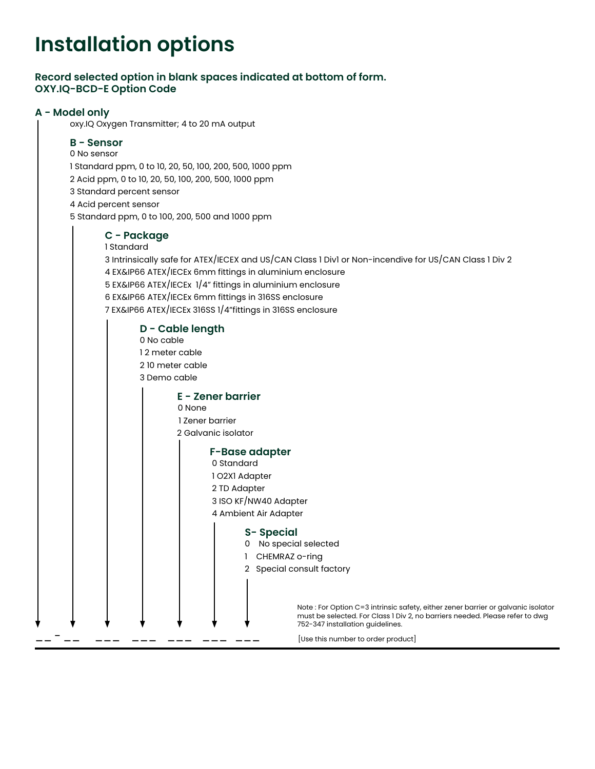# **Installation options**

## **Record selected option in blank spaces indicated at bottom of form. OXY.IQ-BCD-E Option Code**

### **A - Model only**

oxy.IQ Oxygen Transmitter; 4 to 20 mA output

## **B - Sensor**

0 No sensor

1 Standard ppm, 0 to 10, 20, 50, 100, 200, 500, 1000 ppm

2 Acid ppm, 0 to 10, 20, 50, 100, 200, 500, 1000 ppm

3 Standard percent sensor

4 Acid percent sensor

5 Standard ppm, 0 to 100, 200, 500 and 1000 ppm

### **C - Package**

 1 Standard 3 Intrinsically safe for ATEX/IECEX and US/CAN Class 1 Div1 or Non-incendive for US/CAN Class 1 Div 2 4 EX&IP66 ATEX/IECEx 6mm fittings in aluminium enclosure 5 EX&IP66 ATEX/IECEx 1/4" fittings in aluminium enclosure 6 EX&IP66 ATEX/IECEx 6mm fittings in 316SS enclosure 7 EX&IP66 ATEX/IECEx 316SS 1/4"fittings in 316SS enclosure

 **D - Cable length** 0 No cable 1 2 meter cable 2 10 meter cable 3 Demo cable

#### **E - Zener barrier**

0 None

1 Zener barrier

2 Galvanic isolator

#### **F-Base adapter**

0 Standard

- 1 O2X1 Adapter
- 2 TD Adapter
- 3 ISO KF/NW40 Adapter

4 Ambient Air Adapter

#### **S- Special**

- 0 No special selected
- 1 CHEMRAZ o-ring
- 2 Special consult factory

Note : For Option C=3 intrinsic safety, either zener barrier or galvanic isolator must be selected. For Class 1 Div 2, no barriers needed. Please refer to dwg 752-347 installation guidelines.

 $\frac{1}{2}$  -  $\frac{1}{2}$   $\frac{1}{2}$   $\frac{1}{2}$   $\frac{1}{2}$   $\frac{1}{2}$   $\frac{1}{2}$   $\frac{1}{2}$   $\frac{1}{2}$   $\frac{1}{2}$   $\frac{1}{2}$   $\frac{1}{2}$   $\frac{1}{2}$   $\frac{1}{2}$   $\frac{1}{2}$   $\frac{1}{2}$   $\frac{1}{2}$   $\frac{1}{2}$   $\frac{1}{2}$   $\frac{1}{2}$   $\frac{1}{2}$   $\frac{1}{2}$